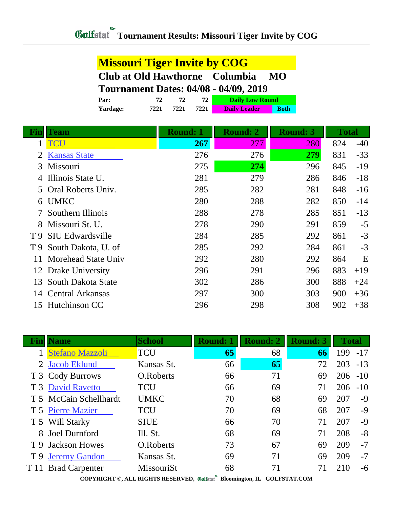## **Missouri Tiger Invite by COG Club at Old Hawthorne Columbia MO Tournament Dates: 04/08 - 04/09, 2019**

| <b>Par:</b>     |      |      |      | <b>Daily Low Round</b> |             |  |
|-----------------|------|------|------|------------------------|-------------|--|
| <b>Yardage:</b> | 7221 | 7221 | 7221 | <b>Daily Leader</b>    | <b>Both</b> |  |

| Fin | <b>Team</b>             | <b>Round: 1</b> | <b>Round: 2</b> | <b>Round: 3</b> | <b>Total</b> |       |
|-----|-------------------------|-----------------|-----------------|-----------------|--------------|-------|
| 1   | TCU                     | <b>267</b>      | 277             | 280             | 824          | $-40$ |
|     | <b>Kansas State</b>     | 276             | 276             | 279             | 831          | $-33$ |
| 3   | Missouri                | 275             | 274             | 296             | 845          | $-19$ |
| 4   | Illinois State U.       | 281             | 279             | 286             | 846          | $-18$ |
| 5.  | Oral Roberts Univ.      | 285             | 282             | 281             | 848          | $-16$ |
|     | 6 UMKC                  | 280             | 288             | 282             | 850          | $-14$ |
|     | Southern Illinois       | 288             | 278             | 285             | 851          | $-13$ |
| 8   | Missouri St. U.         | 278             | 290             | 291             | 859          | $-5$  |
| T 9 | <b>SIU Edwardsville</b> | 284             | 285             | 292             | 861          | $-3$  |
| T 9 | South Dakota, U. of     | 285             | 292             | 284             | 861          | $-3$  |
| 11  | Morehead State Univ     | 292             | 280             | 292             | 864          | E     |
|     | 12 Drake University     | 296             | 291             | 296             | 883          | $+19$ |
| 13  | South Dakota State      | 302             | 286             | 300             | 888          | $+24$ |
| 14  | <b>Central Arkansas</b> | 297             | 300             | 303             | 900          | $+36$ |
|     | 15 Hutchinson CC        | 296             | 298             | 308             | 902          | $+38$ |

|                                                                                                      | Jame                   | <b>School</b> | <b>Round: 1</b> | <b>Round: 2</b> | <b>Round: 3</b> | <b>Total</b> |       |  |
|------------------------------------------------------------------------------------------------------|------------------------|---------------|-----------------|-----------------|-----------------|--------------|-------|--|
|                                                                                                      | <b>Stefano Mazzoli</b> | <b>TCU</b>    | 65              | 68              | 66              | 199          | $-17$ |  |
| 2                                                                                                    | <b>Jacob Eklund</b>    | Kansas St.    | 66              | 65              | 72              | 203          | $-13$ |  |
|                                                                                                      | T 3 Cody Burrows       | O.Roberts     | 66              | 71              | 69              | 206          | $-10$ |  |
|                                                                                                      | T 3 David Ravetto      | <b>TCU</b>    | 66              | 69              | 71              | 206          | $-10$ |  |
|                                                                                                      | T 5 McCain Schellhardt | <b>UMKC</b>   | 70              | 68              | 69              | 207          | $-9$  |  |
|                                                                                                      | T 5 Pierre Mazier      | <b>TCU</b>    | 70              | 69              | 68              | 207          | $-9$  |  |
|                                                                                                      | T 5 Will Starky        | <b>SIUE</b>   | 66              | 70              | 71              | 207          | $-9$  |  |
| 8                                                                                                    | Joel Durnford          | Ill. St.      | 68              | 69              | 71              | 208          | $-8$  |  |
| T 9                                                                                                  | <b>Jackson Howes</b>   | O.Roberts     | 73              | 67              | 69              | 209          | $-7$  |  |
| T <sub>9</sub>                                                                                       | <b>Jeremy Gandon</b>   | Kansas St.    | 69              | 71              | 69              | 209          | $-7$  |  |
| T 11                                                                                                 | <b>Brad Carpenter</b>  | MissouriSt    | 68              | 71              | 71              | 210          | $-6$  |  |
| CONTRIGUES IT RIGHTS RESERVED $\mathscr{B}$ is $\mathbb{R}^n \to \mathbb{R}$<br>$COT$ pop $ID$ $CQ1$ |                        |               |                 |                 |                 |              |       |  |

**COPYRIGHT ©, ALL RIGHTS RESERVED, Bloomington, IL GOLFSTAT.COM**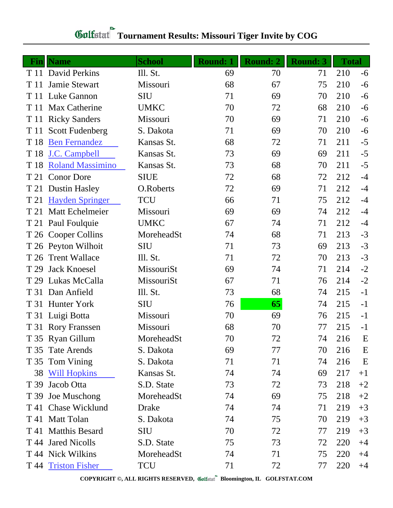| <b>Fin</b> | <b>Name</b>             | <b>School</b> | <b>Round: 1</b> | <b>Round: 2</b> | <b>Round: 3</b> | <b>Total</b> |      |
|------------|-------------------------|---------------|-----------------|-----------------|-----------------|--------------|------|
|            | T 11 David Perkins      | Ill. St.      | 69              | 70              | 71              | 210          | $-6$ |
| T 11       | Jamie Stewart           | Missouri      | 68              | 67              | 75              | 210          | $-6$ |
| T 11       | Luke Gannon             | <b>SIU</b>    | 71              | 69              | 70              | 210          | $-6$ |
| T 11       | Max Catherine           | <b>UMKC</b>   | 70              | 72              | 68              | 210          | $-6$ |
| T 11       | <b>Ricky Sanders</b>    | Missouri      | 70              | 69              | 71              | 210          | $-6$ |
| T 11       | <b>Scott Fudenberg</b>  | S. Dakota     | 71              | 69              | 70              | 210          | $-6$ |
| T 18       | <b>Ben Fernandez</b>    | Kansas St.    | 68              | 72              | 71              | 211          | $-5$ |
| T 18       | J.C. Campbell           | Kansas St.    | 73              | 69              | 69              | 211          | $-5$ |
| T 18       | <b>Roland Massimino</b> | Kansas St.    | 73              | 68              | 70              | 211          | $-5$ |
| T 21       | <b>Conor Dore</b>       | <b>SIUE</b>   | 72              | 68              | 72              | 212          | $-4$ |
| T 21       | <b>Dustin Hasley</b>    | O.Roberts     | 72              | 69              | 71              | 212          | $-4$ |
| T 21       | <b>Hayden Springer</b>  | <b>TCU</b>    | 66              | 71              | 75              | 212          | $-4$ |
| T 21       | Matt Echelmeier         | Missouri      | 69              | 69              | 74              | 212          | $-4$ |
|            | T 21 Paul Foulquie      | <b>UMKC</b>   | 67              | 74              | 71              | 212          | $-4$ |
| T 26       | <b>Cooper Collins</b>   | MoreheadSt    | 74              | 68              | 71              | 213          | $-3$ |
|            | T 26 Peyton Wilhoit     | <b>SIU</b>    | 71              | 73              | 69              | 213          | $-3$ |
| T 26       | <b>Trent Wallace</b>    | Ill. St.      | 71              | 72              | 70              | 213          | $-3$ |
| T 29       | <b>Jack Knoesel</b>     | MissouriSt    | 69              | 74              | 71              | 214          | $-2$ |
| T 29       | Lukas McCalla           | MissouriSt    | 67              | 71              | 76              | 214          | $-2$ |
| T 31       | Dan Anfield             | Ill. St.      | 73              | 68              | 74              | 215          | $-1$ |
|            | T 31 Hunter York        | <b>SIU</b>    | 76              | 65              | 74              | 215          | $-1$ |
|            | T 31 Luigi Botta        | Missouri      | 70              | 69              | 76              | 215          | $-1$ |
|            | T 31 Rory Franssen      | Missouri      | 68              | 70              | 77              | 215          | $-1$ |
|            | T 35 Ryan Gillum        | MoreheadSt    | 70              | 72              | 74              | 216          | E    |
|            | T 35 Tate Arends        | S. Dakota     | 69              | 77              | 70              | 216          | E    |
|            | T 35 Tom Vining         | S. Dakota     | 71              | 71              | 74              | 216          | E    |
|            | 38 Will Hopkins         | Kansas St.    | 74              | 74              | 69              | 217          | $+1$ |
|            | T 39 Jacob Otta         | S.D. State    | 73              | 72              | 73              | 218          | $+2$ |
|            | T 39 Joe Muschong       | MoreheadSt    | 74              | 69              | 75              | 218          | $+2$ |
|            | T 41 Chase Wicklund     | Drake         | 74              | 74              | 71              | 219          | $+3$ |
|            | T 41 Matt Tolan         | S. Dakota     | 74              | 75              | 70              | 219          | $+3$ |
|            | T 41 Matthis Besard     | <b>SIU</b>    | 70              | 72              | 77              | 219          | $+3$ |
|            | T 44 Jared Nicolls      | S.D. State    | 75              | 73              | 72              | 220          | $+4$ |
|            | T 44 Nick Wilkins       | MoreheadSt    | 74              | 71              | 75              | 220          | $+4$ |
|            | T 44 Triston Fisher     | TCU           | 71              | 72              | 77              | 220          | $+4$ |

## **Tournament Results: Missouri Tiger Invite by COG**

**COPYRIGHT ©, ALL RIGHTS RESERVED, Bloomington, IL GOLFSTAT.COM**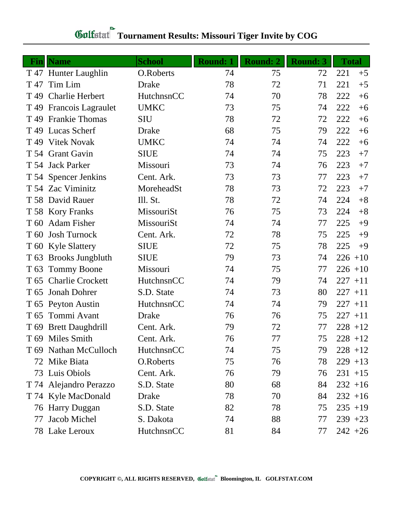|                 |                         | <b>School</b> |                 |                 |                 | <b>Total</b> |
|-----------------|-------------------------|---------------|-----------------|-----------------|-----------------|--------------|
| Fin             | <b>Name</b>             |               | <b>Round: 1</b> | <b>Round: 2</b> | <b>Round: 3</b> |              |
|                 | T 47 Hunter Laughlin    | O.Roberts     | 74              | 75              | 72              | 221<br>$+5$  |
| T 47            | Tim Lim                 | <b>Drake</b>  | 78              | 72              | 71              | 221<br>$+5$  |
| T <sub>49</sub> | <b>Charlie Herbert</b>  | HutchnsnCC    | 74              | 70              | 78              | 222<br>$+6$  |
|                 | T 49 Francois Lagraulet | <b>UMKC</b>   | 73              | 75              | 74              | 222<br>$+6$  |
| T 49            | <b>Frankie Thomas</b>   | <b>SIU</b>    | 78              | 72              | 72              | 222<br>$+6$  |
| T 49            | <b>Lucas Scherf</b>     | Drake         | 68              | 75              | 79              | 222<br>$+6$  |
| T <sub>49</sub> | <b>Vitek Novak</b>      | <b>UMKC</b>   | 74              | 74              | 74              | 222<br>$+6$  |
|                 | T 54 Grant Gavin        | <b>SIUE</b>   | 74              | 74              | 75              | 223<br>$+7$  |
|                 | T 54 Jack Parker        | Missouri      | 73              | 74              | 76              | 223<br>$+7$  |
|                 | T 54 Spencer Jenkins    | Cent. Ark.    | 73              | 73              | 77              | 223<br>$+7$  |
|                 | T 54 Zac Viminitz       | MoreheadSt    | 78              | 73              | 72              | 223<br>$+7$  |
|                 | T 58 David Rauer        | Ill. St.      | 78              | 72              | 74              | 224<br>$+8$  |
|                 | T 58 Kory Franks        | MissouriSt    | 76              | 75              | 73              | 224<br>$+8$  |
| T 60            | <b>Adam Fisher</b>      | MissouriSt    | 74              | 74              | 77              | 225<br>$+9$  |
| T 60            | <b>Josh Turnock</b>     | Cent. Ark.    | 72              | 78              | 75              | 225<br>$+9$  |
|                 | T 60 Kyle Slattery      | <b>SIUE</b>   | 72              | 75              | 78              | 225<br>$+9$  |
|                 | T 63 Brooks Jungbluth   | <b>SIUE</b>   | 79              | 73              | 74              | $226 + 10$   |
| T <sub>63</sub> | <b>Tommy Boone</b>      | Missouri      | 74              | 75              | 77              | $226 + 10$   |
| T 65            | <b>Charlie Crockett</b> | HutchnsnCC    | 74              | 79              | 74              | $227 + 11$   |
| T <sub>65</sub> | <b>Jonah Dohrer</b>     | S.D. State    | 74              | 73              | 80              | $227 + 11$   |
|                 | T 65 Peyton Austin      | HutchnsnCC    | 74              | 74              | 79              | $227 + 11$   |
| T 65            | Tommi Avant             | Drake         | 76              | 76              | 75              | $227 + 11$   |
|                 | T 69 Brett Daughdrill   | Cent. Ark.    | 79              | 72              | 77              | $228 + 12$   |
|                 | T 69 Miles Smith        | Cent. Ark.    | 76              | 77              | 75              | $228 + 12$   |
|                 | T 69 Nathan McCulloch   | HutchnsnCC    | 74              | 75              | 79              | $228 + 12$   |
|                 | 72 Mike Biata           | O.Roberts     | 75              | 76              | 78              | $229 + 13$   |
|                 | 73 Luis Obiols          | Cent. Ark.    | 76              | 79              | 76              | $231 + 15$   |
|                 | T 74 Alejandro Perazzo  | S.D. State    | 80              | 68              | 84              | $232 + 16$   |
|                 | T 74 Kyle MacDonald     | Drake         | 78              | 70              | 84              | $232 + 16$   |
|                 | 76 Harry Duggan         | S.D. State    | 82              | 78              | 75              | $235 + 19$   |
| 77              | Jacob Michel            | S. Dakota     | 74              | 88              | 77              | $239 + 23$   |
|                 | 78 Lake Leroux          | HutchnsnCC    | 81              | 84              | 77              | $242 + 26$   |

## **Tournament Results: Missouri Tiger Invite by COG**